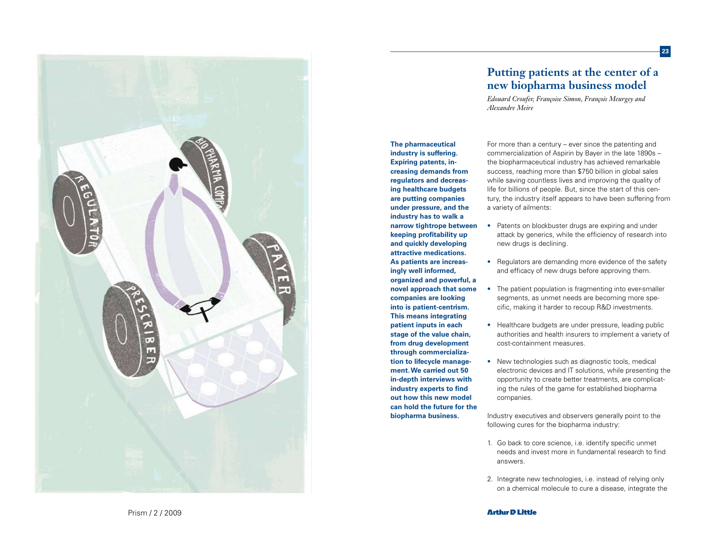

# **Putting patients at the center of a new biopharma business model**

**23**

*Edouard Croufer, Françoise Simon, François Meurgey and Alexandre Meire*

**The pharmaceutical industry is suffering. Expiring patents, in creasing demands from regulators and decreas ing healthcare budgets are putting companies under pressure, and the industry has to walk a narrow tightrope between keeping profitability up and quickly developing attractive medications. As patients are increas ingly well informed, organized and powerful, a novel approach that some companies are looking into is patient-centrism. This means integrating patient inputs in each stage of the value chain, from drug development through commercializa tion to lifecycle manage ment. We carried out 50 in-depth interviews with industry experts to find out how this new model can hold the future for the biopharma business.**

For more than a century – ever since the patenting and commercialization of Aspirin by Bayer in the late 1890s – the biopharmaceutical industry has achieved remarkable success, reaching more than \$750 billion in global sales while saving countless lives and improving the quality of life for billions of people. But, since the start of this cen tury, the industry itself appears to have been suffering from a variety of ailments:

- Patents on blockbuster drugs are expiring and under attack by generics, while the efficiency of research into new drugs is declining.
- Regulators are demanding more evidence of the safety and efficacy of new drugs before approving them.
- The patient population is fragmenting into ever-smaller segments, as unmet needs are becoming more spe cific, making it harder to recoup R&D investments.
- Healthcare budgets are under pressure, leading public authorities and health insurers to implement a variety of cost-containment measures.
- New technologies such as diagnostic tools, medical electronic devices and IT solutions, while presenting the opportunity to create better treatments, are complicat ing the rules of the game for established biopharma companies.

Industry executives and observers generally point to the following cures for the biopharma industry:

- 1. Go back to core science, i.e. identify specific unmet needs and invest more in fundamental research to find answers.
- 2. Integrate new technologies, i.e. instead of relying only on a chemical molecule to cure a disease, integrate the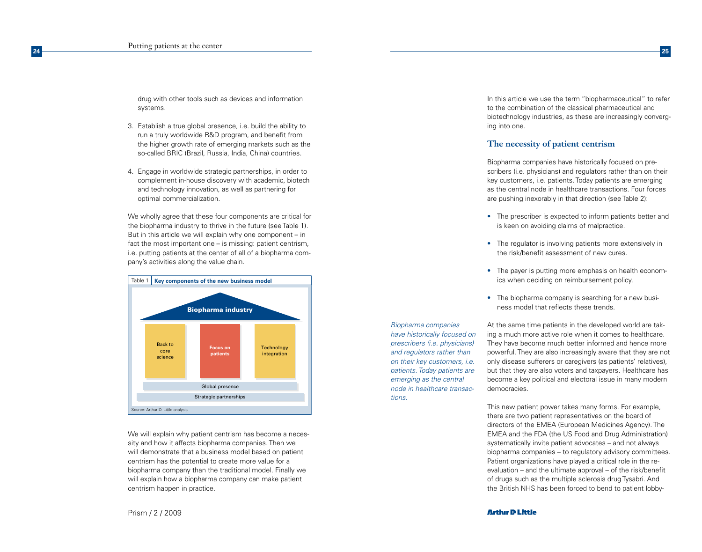drug with other tools such as devices and information systems.

- 3. Establish a true global presence, i.e. build the ability to run a truly worldwide R&D program, and benefit from the higher growth rate of emerging markets such as the so-called BRIC (Brazil, Russia, India, China) countries.
- 4. Engage in worldwide strategic partnerships, in order to complement in-house discovery with academic, biotech and technology innovation, as well as partnering for optimal commercialization.

We wholly agree that these four components are critical for the biopharma industry to thrive in the future (see Table 1). But in this article we will explain why one component – in fact the most important one – is missing: patient centrism, i.e. putting patients at the center of all of a biopharma company's activities along the value chain.



We will explain why patient centrism has become a necessity and how it affects biopharma companies. Then we will demonstrate that a business model based on patient centrism has the potential to create more value for a biopharma company than the traditional model. Finally we will explain how a biopharma company can make patient centrism happen in practice.

In this article we use the term "biopharmaceutical" to refer to the combination of the classical pharmaceutical and biotechnology industries, as these are increasingly converging into one.

## **The necessity of patient centrism**

Biopharma companies have historically focused on prescribers (i.e. physicians) and regulators rather than on their key customers, i.e. patients. Today patients are emerging as the central node in healthcare transactions. Four forces are pushing inexorably in that direction (see Table 2):

- The prescriber is expected to inform patients better and is keen on avoiding claims of malpractice.
- The regulator is involving patients more extensively in the risk/benefit assessment of new cures.
- The payer is putting more emphasis on health economics when deciding on reimbursement policy.
- The biopharma company is searching for a new business model that reflects these trends.

*Biopharma companies have historically focused on prescribers (i.e. physicians) and regulators rather than on their key customers, i.e. patients. Today patients are emerging as the central node in healthcare transactions.*

At the same time patients in the developed world are taking a much more active role when it comes to healthcare. They have become much better informed and hence more powerful. They are also increasingly aware that they are not only disease sufferers or caregivers (as patients' relatives), but that they are also voters and taxpayers. Healthcare has become a key political and electoral issue in many modern democracies.

This new patient power takes many forms. For example, there are two patient representatives on the board of directors of the EMEA (European Medicines Agency). The EMEA and the FDA (the US Food and Drug Administration) systematically invite patient advocates – and not always biopharma companies – to regulatory advisory committees. Patient organizations have played a critical role in the reevaluation – and the ultimate approval – of the risk/benefit of drugs such as the multiple sclerosis drug Tysabri. And the British NHS has been forced to bend to patient lobby-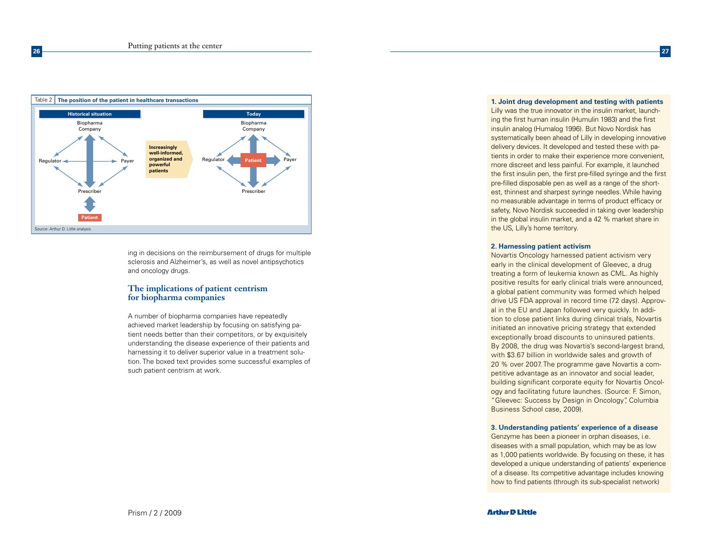

ing in decisions on the reimbursement of drugs for multiple sclerosis and Alzheimer's, as well as novel antipsychotics and oncology drugs.

## **The implications of patient centrism for biopharma companies**

A number of biopharma companies have repeatedly achieved market leadership by focusing on satisfying patient needs better than their competitors, or by exquisitely understanding the disease experience of their patients and harnessing it to deliver superior value in a treatment solution. The boxed text provides some successful examples of such patient centrism at work.

**1. Joint drug development and testing with patients**

Lilly was the true innovator in the insulin market, launching the first human insulin (Humulin 1983) and the first insulin analog (Humalog 1996). But Novo Nordisk has systematically been ahead of Lilly in developing innovative delivery devices. It developed and tested these with patients in order to make their experience more convenient, more discreet and less painful. For example, it launched the first insulin pen, the first pre-filled syringe and the first pre-filled disposable pen as well as a range of the shortest, thinnest and sharpest syringe needles. While having no measurable advantage in terms of product efficacy or safety, Novo Nordisk succeeded in taking over leadership in the global insulin market, and a 42 % market share in the US, Lilly's home territory.

## **2. Harnessing patient activism**

Novartis Oncology harnessed patient activism very early in the clinical development of Gleevec, a drug treating a form of leukemia known as CML. As highly positive results for early clinical trials were announced, a global patient community was formed which helped drive US FDA approval in record time (72 days). Approval in the EU and Japan followed very quickly. In addition to close patient links during clinical trials, Novartis initiated an innovative pricing strategy that extended exceptionally broad discounts to uninsured patients. By 2008, the drug was Novartis's second-largest brand, with \$3.67 billion in worldwide sales and growth of 20 % over 2007. The programme gave Novartis a competitive advantage as an innovator and social leader, building significant corporate equity for Novartis Oncology and facilitating future launches. (Source: F. Simon, "Gleevec: Success by Design in Oncology", Columbia Business School case, 2009).

#### **3. Understanding patients' experience of a disease**

Genzyme has been a pioneer in orphan diseases, i.e. diseases with a small population, which may be as low as 1,000 patients worldwide. By focusing on these, it has developed a unique understanding of patients' experience of a disease. Its competitive advantage includes knowing how to find patients (through its sub-specialist network)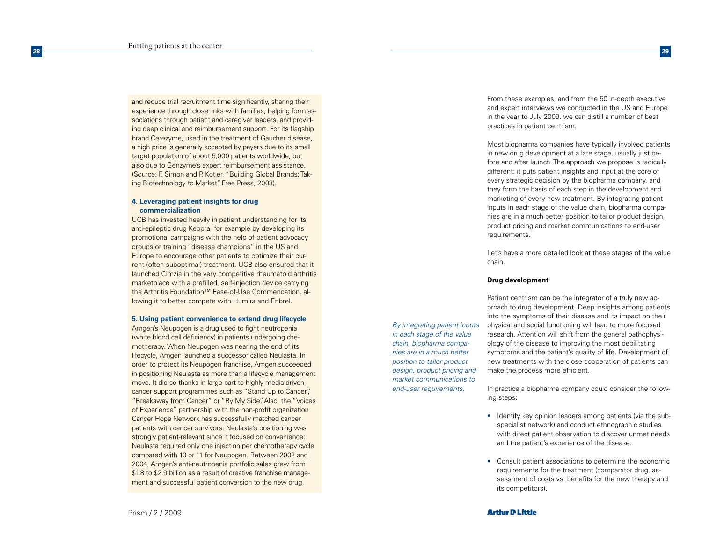and reduce trial recruitment time significantly, sharing their experience through close links with families, helping form as sociations through patient and caregiver leaders, and providing deep clinical and reimbursement support. For its flagship brand Cerezyme, used in the treatment of Gaucher disease, a high price is generally accepted by payers due to its small target population of about 5,000 patients worldwide, but also due to Genzyme's expert reimbursement assistance. (Source: F. Simon and P. Kotler, "Building Global Brands: Tak ing Biotechnology to Market", Free Press, 2003).

## **4. Leveraging patient insights for drug commercialization**

UCB has invested heavily in patient understanding for its anti-epileptic drug Keppra, for example by developing its promotional campaigns with the help of patient advocacy groups or training "disease champions" in the US and Europe to encourage other patients to optimize their current (often suboptimal) treatment. UCB also ensured that it launched Cimzia in the very competitive rheumatoid arthritis marketplace with a prefilled, self-injection device carrying the Arthritis Foundation™ Ease-of-Use Commendation, allowing it to better compete with Humira and Enbrel.

#### **5. Using patient convenience to extend drug lifecycle**

Amgen's Neupogen is a drug used to fight neutropenia (white blood cell deficiency) in patients undergoing che motherapy. When Neupogen was nearing the end of its lifecycle, Amgen launched a successor called Neulasta. In order to protect its Neupogen franchise, Amgen succeeded in positioning Neulasta as more than a lifecycle management move. It did so thanks in large part to highly media-driven cancer support programmes such as "Stand Up to Cancer", "Breakaway from Cancer" or "By My Side". Also, the "Voices of Experience" partnership with the non-profit organization Cancer Hope Network has successfully matched cancer patients with cancer survivors. Neulasta's positioning was strongly patient-relevant since it focused on convenience: Neulasta required only one injection per chemotherapy cycle compared with 10 or 11 for Neupogen. Between 2002 and 2004, Amgen's anti-neutropenia portfolio sales grew from \$1.8 to \$2.9 billion as a result of creative franchise manage ment and successful patient conversion to the new drug.

From these examples, and from the 50 in-depth executive and expert interviews we conducted in the US and Europe in the year to July 2009, we can distill a number of best practices in patient centrism.

Most biopharma companies have typically involved patients in new drug development at a late stage, usually just be fore and after launch. The approach we propose is radically different: it puts patient insights and input at the core of every strategic decision by the biopharma company, and they form the basis of each step in the development and marketing of every new treatment. By integrating patient inputs in each stage of the value chain, biopharma compa nies are in a much better position to tailor product design, product pricing and market communications to end-user requirements.

Let's have a more detailed look at these stages of the value chain.

### **Drug development**

*By integrating patient inputs in each stage of the value chain, biopharma compa nies are in a much better position to tailor product design, product pricing and market communications to end-user requirements.* 

Patient centrism can be the integrator of a truly new approach to drug development. Deep insights among patients into the symptoms of their disease and its impact on their physical and social functioning will lead to more focused research. Attention will shift from the general pathophysi ology of the disease to improving the most debilitating symptoms and the patient's quality of life. Development of new treatments with the close cooperation of patients can make the process more efficient.

In practice a biopharma company could consider the following steps:

- Identify key opinion leaders among patients (via the subspecialist network) and conduct ethnographic studies with direct patient observation to discover unmet needs and the patient's experience of the disease.
- Consult patient associations to determine the economic requirements for the treatment (comparator drug, as sessment of costs vs. benefits for the new therapy and its competitors).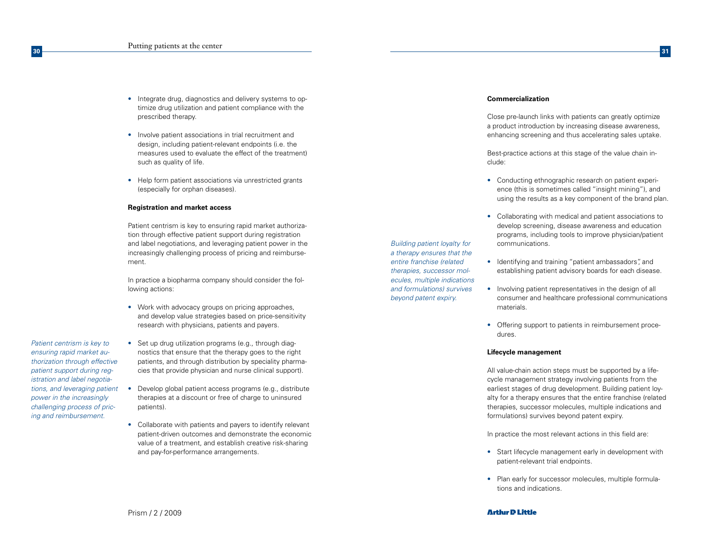- Integrate drug, diagnostics and delivery systems to optimize drug utilization and patient compliance with the prescribed therapy.
- Involve patient associations in trial recruitment and design, including patient-relevant endpoints (i.e. the measures used to evaluate the effect of the treatment) such as quality of life.
- Help form patient associations via unrestricted grants (especially for orphan diseases).

### **Registration and market access**

Patient centrism is key to ensuring rapid market authorization through effective patient support during registration and label negotiations, and leveraging patient power in the increasingly challenging process of pricing and reimbursement.

In practice a biopharma company should consider the following actions:

- Work with advocacy groups on pricing approaches, and develop value strategies based on price-sensitivity research with physicians, patients and payers.
- *Patient centrism is key to ensuring rapid market authorization through effective patient support during registration and label negotiations, and leveraging patient power in the increasingly challenging process of pricing and reimbursement.*

**30**

- Set up drug utilization programs (e.g., through diagnostics that ensure that the therapy goes to the right patients, and through distribution by speciality pharmacies that provide physician and nurse clinical support).
- Develop global patient access programs (e.g., distribute therapies at a discount or free of charge to uninsured patients).
- Collaborate with patients and payers to identify relevant patient-driven outcomes and demonstrate the economic value of a treatment, and establish creative risk-sharing and pay-for-performance arrangements.

Prism / 2 / 2009

## **Commercialization**

Close pre-launch links with patients can greatly optimize a product introduction by increasing disease awareness, enhancing screening and thus accelerating sales uptake.

Best-practice actions at this stage of the value chain include:

- Conducting ethnographic research on patient experience (this is sometimes called "insight mining"), and using the results as a key component of the brand plan.
- Collaborating with medical and patient associations to develop screening, disease awareness and education programs, including tools to improve physician/patient communications.

*Building patient loyalty for a therapy ensures that the entire franchise (related therapies, successor molecules, multiple indications and formulations) survives beyond patent expiry.*

• Identifying and training "patient ambassadors", and establishing patient advisory boards for each disease.

- Involving patient representatives in the design of all consumer and healthcare professional communications materials.
- Offering support to patients in reimbursement procedures.

## **Lifecycle management**

All value-chain action steps must be supported by a lifecycle management strategy involving patients from the earliest stages of drug development. Building patient loyalty for a therapy ensures that the entire franchise (related therapies, successor molecules, multiple indications and formulations) survives beyond patent expiry.

In practice the most relevant actions in this field are:

- Start lifecycle management early in development with patient-relevant trial endpoints.
- Plan early for successor molecules, multiple formulations and indications.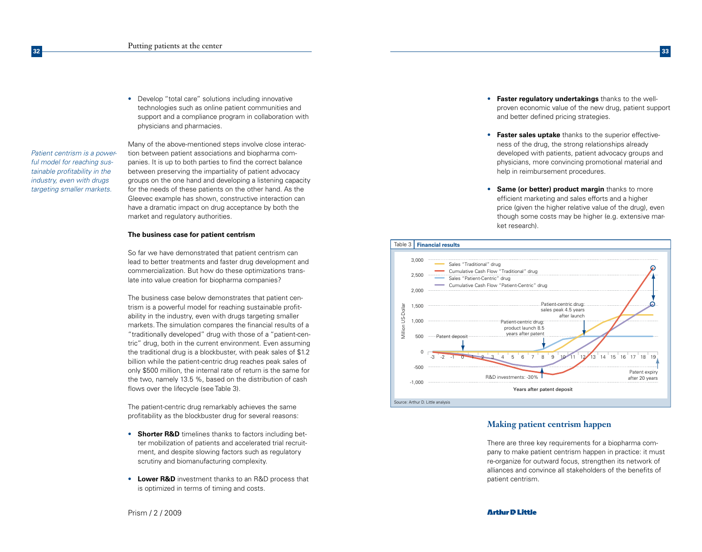• Develop "total care" solutions including innovative technologies such as online patient communities and support and a compliance program in collaboration with physicians and pharmacies.

Many of the above-mentioned steps involve close interaction between patient associations and biopharma companies. It is up to both parties to find the correct balance between preserving the impartiality of patient advocacy groups on the one hand and developing a listening capacity for the needs of these patients on the other hand. As the Gleevec example has shown, constructive interaction can have a dramatic impact on drug acceptance by both the market and regulatory authorities.

### **The business case for patient centrism**

So far we have demonstrated that patient centrism can lead to better treatments and faster drug development and commercialization. But how do these optimizations translate into value creation for biopharma companies?

The business case below demonstrates that patient centrism is a powerful model for reaching sustainable profitability in the industry, even with drugs targeting smaller markets. The simulation compares the financial results of a "traditionally developed" drug with those of a "patient-centric" drug, both in the current environment. Even assuming the traditional drug is a blockbuster, with peak sales of \$1.2 billion while the patient-centric drug reaches peak sales of only \$500 million, the internal rate of return is the same for the two, namely 13.5 %, based on the distribution of cash flows over the lifecycle (see Table 3).

The patient-centric drug remarkably achieves the same profitability as the blockbuster drug for several reasons:

- **Shorter R&D** timelines thanks to factors including better mobilization of patients and accelerated trial recruitment, and despite slowing factors such as regulatory scrutiny and biomanufacturing complexity.
- **Lower R&D** investment thanks to an R&D process that is optimized in terms of timing and costs.
- **Faster regulatory undertakings** thanks to the wellproven economic value of the new drug, patient support and better defined pricing strategies.
- **Faster sales uptake** thanks to the superior effectiveness of the drug, the strong relationships already developed with patients, patient advocacy groups and physicians, more convincing promotional material and help in reimbursement procedures.
- **Same (or better) product margin** thanks to more efficient marketing and sales efforts and a higher price (given the higher relative value of the drug), even though some costs may be higher (e.g. extensive market research).



## **Making patient centrism happen**

There are three key requirements for a biopharma company to make patient centrism happen in practice: it must re-organize for outward focus, strengthen its network of alliances and convince all stakeholders of the benefits of patient centrism.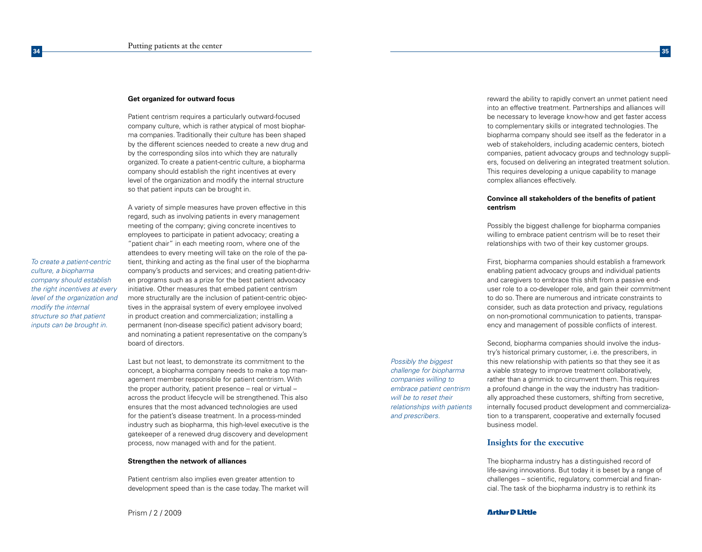#### **Get organized for outward focus**

Patient centrism requires a particularly outward-focused company culture, which is rather atypical of most biopharma companies. Traditionally their culture has been shaped by the different sciences needed to create a new drug and by the corresponding silos into which they are naturally organized. To create a patient-centric culture, a biopharma company should establish the right incentives at every level of the organization and modify the internal structure so that patient inputs can be brought in.

*To create a patient-centric culture, a biopharma company should establish the right incentives at every level of the organization and modify the internal structure so that patient inputs can be brought in.*

**34**

A variety of simple measures have proven effective in this regard, such as involving patients in every management meeting of the company; giving concrete incentives to employees to participate in patient advocacy; creating a "patient chair" in each meeting room, where one of the attendees to every meeting will take on the role of the patient, thinking and acting as the final user of the biopharma company's products and services; and creating patient-driven programs such as a prize for the best patient advocacy initiative. Other measures that embed patient centrism more structurally are the inclusion of patient-centric objectives in the appraisal system of every employee involved in product creation and commercialization; installing a permanent (non-disease specific) patient advisory board; and nominating a patient representative on the company's board of directors.

Last but not least, to demonstrate its commitment to the concept, a biopharma company needs to make a top management member responsible for patient centrism. With the proper authority, patient presence – real or virtual – across the product lifecycle will be strengthened. This also ensures that the most advanced technologies are used for the patient's disease treatment. In a process-minded industry such as biopharma, this high-level executive is the gatekeeper of a renewed drug discovery and development process, now managed with and for the patient.

#### **Strengthen the network of alliances**

Patient centrism also implies even greater attention to development speed than is the case today. The market will

*Possibly the biggest challenge for biopharma companies willing to embrace patient centrism will be to reset their relationships with patients and prescribers.*

reward the ability to rapidly convert an unmet patient need into an effective treatment. Partnerships and alliances will be necessary to leverage know-how and get faster access to complementary skills or integrated technologies. The biopharma company should see itself as the federator in a web of stakeholders, including academic centers, biotech companies, patient advocacy groups and technology suppliers, focused on delivering an integrated treatment solution. This requires developing a unique capability to manage complex alliances effectively.

## **Convince all stakeholders of the benefits of patient centrism**

Possibly the biggest challenge for biopharma companies willing to embrace patient centrism will be to reset their relationships with two of their key customer groups.

First, biopharma companies should establish a framework enabling patient advocacy groups and individual patients and caregivers to embrace this shift from a passive enduser role to a co-developer role, and gain their commitment to do so. There are numerous and intricate constraints to consider, such as data protection and privacy, regulations on non-promotional communication to patients, transparency and management of possible conflicts of interest.

Second, biopharma companies should involve the industry's historical primary customer, i.e. the prescribers, in this new relationship with patients so that they see it as a viable strategy to improve treatment collaboratively, rather than a gimmick to circumvent them. This requires a profound change in the way the industry has traditionally approached these customers, shifting from secretive, internally focused product development and commercialization to a transparent, cooperative and externally focused business model.

## **Insights for the executive**

The biopharma industry has a distinguished record of life-saving innovations. But today it is beset by a range of challenges – scientific, regulatory, commercial and financial. The task of the biopharma industry is to rethink its